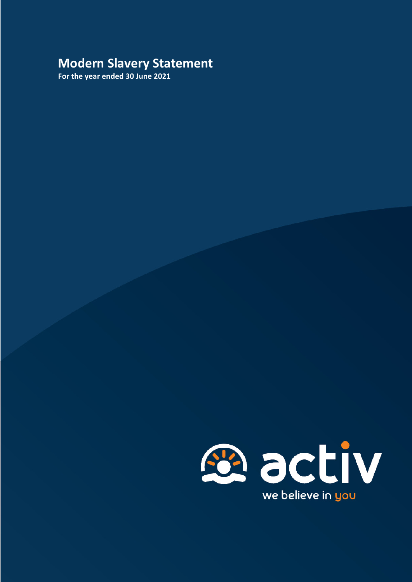# **Modern Slavery Statement**

**For the year ended 30 June 2021**

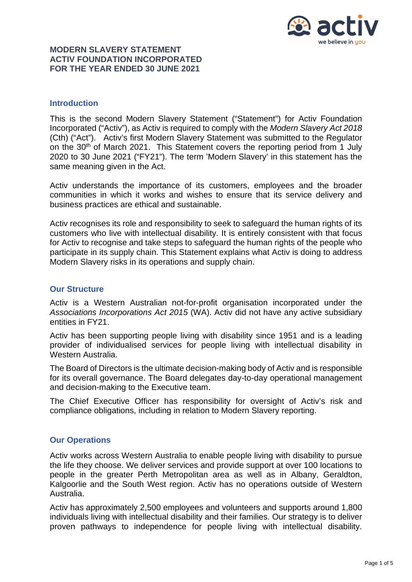

#### **Introduction**

This is the second Modern Slavery Statement ("Statement") for Activ Foundation Incorporated ("Activ"), as Activ is required to comply with the *Modern Slavery Act 2018* (Cth) ("Act"). Activ's first Modern Slavery Statement was submitted to the Regulator on the 30th of March 2021. This Statement covers the reporting period from 1 July 2020 to 30 June 2021 ("FY21"). The term 'Modern Slavery' in this statement has the same meaning given in the Act.

Activ understands the importance of its customers, employees and the broader communities in which it works and wishes to ensure that its service delivery and business practices are ethical and sustainable.

Activ recognises its role and responsibility to seek to safeguard the human rights of its customers who live with intellectual disability. It is entirely consistent with that focus for Activ to recognise and take steps to safeguard the human rights of the people who participate in its supply chain. This Statement explains what Activ is doing to address Modern Slavery risks in its operations and supply chain.

#### **Our Structure**

Activ is a Western Australian not-for-profit organisation incorporated under the *Associations Incorporations Act 2015* (WA). Activ did not have any active subsidiary entities in FY21.

Activ has been supporting people living with disability since 1951 and is a leading provider of individualised services for people living with intellectual disability in Western Australia.

The Board of Directors is the ultimate decision-making body of Activ and is responsible for its overall governance. The Board delegates day-to-day operational management and decision-making to the Executive team.

The Chief Executive Officer has responsibility for oversight of Activ's risk and compliance obligations, including in relation to Modern Slavery reporting.

#### **Our Operations**

Activ works across Western Australia to enable people living with disability to pursue the life they choose. We deliver services and provide support at over 100 locations to people in the greater Perth Metropolitan area as well as in Albany, Geraldton, Kalgoorlie and the South West region. Activ has no operations outside of Western Australia.

Activ has approximately 2,500 employees and volunteers and supports around 1,800 individuals living with intellectual disability and their families. Our strategy is to deliver proven pathways to independence for people living with intellectual disability.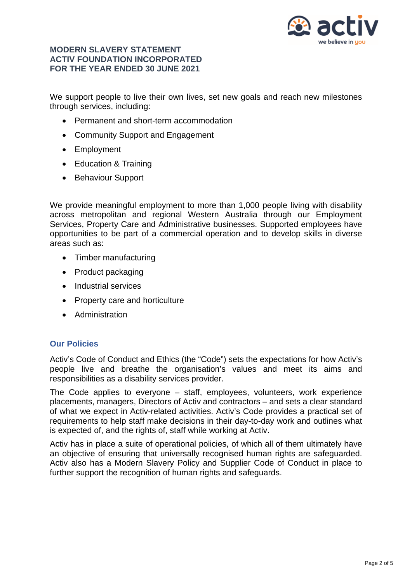

We support people to live their own lives, set new goals and reach new milestones through services, including:

- Permanent and short-term accommodation
- Community Support and Engagement
- Employment
- Education & Training
- Behaviour Support

We provide meaningful employment to more than 1,000 people living with disability across metropolitan and regional Western Australia through our Employment Services, Property Care and Administrative businesses. Supported employees have opportunities to be part of a commercial operation and to develop skills in diverse areas such as:

- Timber manufacturing
- Product packaging
- Industrial services
- Property care and horticulture
- Administration

## **Our Policies**

Activ's Code of Conduct and Ethics (the "Code") sets the expectations for how Activ's people live and breathe the organisation's values and meet its aims and responsibilities as a disability services provider.

The Code applies to everyone – staff, employees, volunteers, work experience placements, managers, Directors of Activ and contractors – and sets a clear standard of what we expect in Activ-related activities. Activ's Code provides a practical set of requirements to help staff make decisions in their day-to-day work and outlines what is expected of, and the rights of, staff while working at Activ.

Activ has in place a suite of operational policies, of which all of them ultimately have an objective of ensuring that universally recognised human rights are safeguarded. Activ also has a Modern Slavery Policy and Supplier Code of Conduct in place to further support the recognition of human rights and safeguards.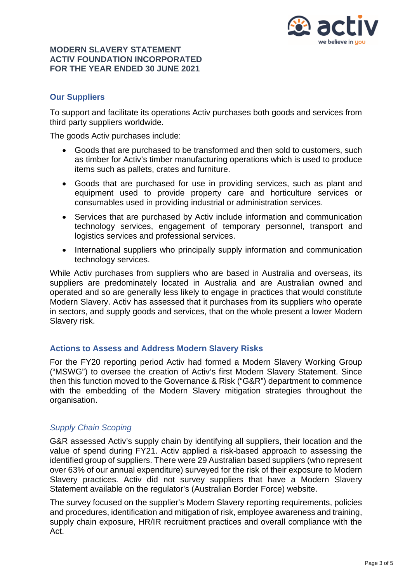

# **Our Suppliers**

To support and facilitate its operations Activ purchases both goods and services from third party suppliers worldwide.

The goods Activ purchases include:

- Goods that are purchased to be transformed and then sold to customers, such as timber for Activ's timber manufacturing operations which is used to produce items such as pallets, crates and furniture.
- Goods that are purchased for use in providing services, such as plant and equipment used to provide property care and horticulture services or consumables used in providing industrial or administration services.
- Services that are purchased by Activ include information and communication technology services, engagement of temporary personnel, transport and logistics services and professional services.
- International suppliers who principally supply information and communication technology services.

While Activ purchases from suppliers who are based in Australia and overseas, its suppliers are predominately located in Australia and are Australian owned and operated and so are generally less likely to engage in practices that would constitute Modern Slavery. Activ has assessed that it purchases from its suppliers who operate in sectors, and supply goods and services, that on the whole present a lower Modern Slavery risk.

## **Actions to Assess and Address Modern Slavery Risks**

For the FY20 reporting period Activ had formed a Modern Slavery Working Group ("MSWG") to oversee the creation of Activ's first Modern Slavery Statement. Since then this function moved to the Governance & Risk ("G&R") department to commence with the embedding of the Modern Slavery mitigation strategies throughout the organisation.

## *Supply Chain Scoping*

G&R assessed Activ's supply chain by identifying all suppliers, their location and the value of spend during FY21. Activ applied a risk-based approach to assessing the identified group of suppliers. There were 29 Australian based suppliers (who represent over 63% of our annual expenditure) surveyed for the risk of their exposure to Modern Slavery practices. Activ did not survey suppliers that have a Modern Slavery Statement available on the regulator's (Australian Border Force) website.

The survey focused on the supplier's Modern Slavery reporting requirements, policies and procedures, identification and mitigation of risk, employee awareness and training, supply chain exposure, HR/IR recruitment practices and overall compliance with the Act.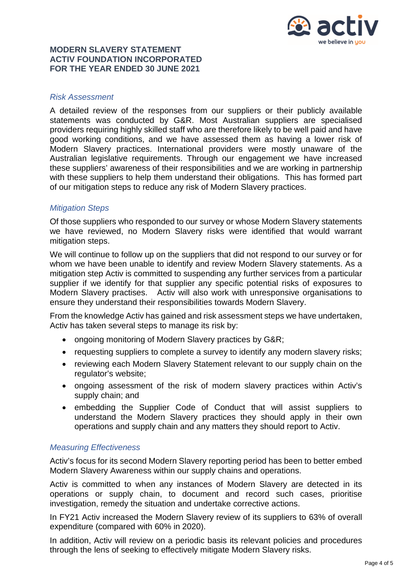

#### *Risk Assessment*

A detailed review of the responses from our suppliers or their publicly available statements was conducted by G&R. Most Australian suppliers are specialised providers requiring highly skilled staff who are therefore likely to be well paid and have good working conditions, and we have assessed them as having a lower risk of Modern Slavery practices. International providers were mostly unaware of the Australian legislative requirements. Through our engagement we have increased these suppliers' awareness of their responsibilities and we are working in partnership with these suppliers to help them understand their obligations. This has formed part of our mitigation steps to reduce any risk of Modern Slavery practices.

#### *Mitigation Steps*

Of those suppliers who responded to our survey or whose Modern Slavery statements we have reviewed, no Modern Slavery risks were identified that would warrant mitigation steps.

We will continue to follow up on the suppliers that did not respond to our survey or for whom we have been unable to identify and review Modern Slavery statements. As a mitigation step Activ is committed to suspending any further services from a particular supplier if we identify for that supplier any specific potential risks of exposures to Modern Slavery practises. Activ will also work with unresponsive organisations to ensure they understand their responsibilities towards Modern Slavery.

From the knowledge Activ has gained and risk assessment steps we have undertaken, Activ has taken several steps to manage its risk by:

- ongoing monitoring of Modern Slavery practices by G&R;
- requesting suppliers to complete a survey to identify any modern slavery risks:
- reviewing each Modern Slavery Statement relevant to our supply chain on the regulator's website;
- ongoing assessment of the risk of modern slavery practices within Activ's supply chain; and
- embedding the Supplier Code of Conduct that will assist suppliers to understand the Modern Slavery practices they should apply in their own operations and supply chain and any matters they should report to Activ.

#### *Measuring Effectiveness*

Activ's focus for its second Modern Slavery reporting period has been to better embed Modern Slavery Awareness within our supply chains and operations.

Activ is committed to when any instances of Modern Slavery are detected in its operations or supply chain, to document and record such cases, prioritise investigation, remedy the situation and undertake corrective actions.

In FY21 Activ increased the Modern Slavery review of its suppliers to 63% of overall expenditure (compared with 60% in 2020).

In addition, Activ will review on a periodic basis its relevant policies and procedures through the lens of seeking to effectively mitigate Modern Slavery risks.